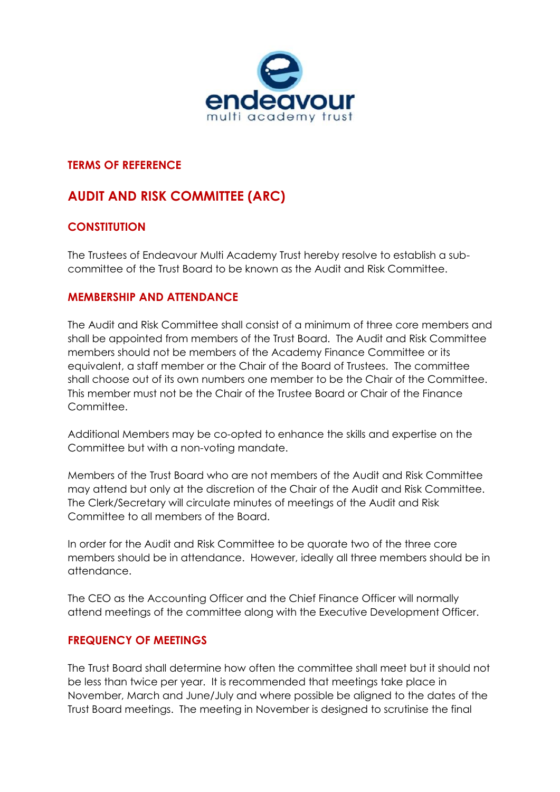

#### **TERMS OF REFERENCE**

# **AUDIT AND RISK COMMITTEE (ARC)**

# **CONSTITUTION**

The Trustees of Endeavour Multi Academy Trust hereby resolve to establish a subcommittee of the Trust Board to be known as the Audit and Risk Committee.

### **MEMBERSHIP AND ATTENDANCE**

The Audit and Risk Committee shall consist of a minimum of three core members and shall be appointed from members of the Trust Board. The Audit and Risk Committee members should not be members of the Academy Finance Committee or its equivalent, a staff member or the Chair of the Board of Trustees. The committee shall choose out of its own numbers one member to be the Chair of the Committee. This member must not be the Chair of the Trustee Board or Chair of the Finance Committee.

Additional Members may be co-opted to enhance the skills and expertise on the Committee but with a non-voting mandate.

Members of the Trust Board who are not members of the Audit and Risk Committee may attend but only at the discretion of the Chair of the Audit and Risk Committee. The Clerk/Secretary will circulate minutes of meetings of the Audit and Risk Committee to all members of the Board.

In order for the Audit and Risk Committee to be quorate two of the three core members should be in attendance. However, ideally all three members should be in attendance.

The CEO as the Accounting Officer and the Chief Finance Officer will normally attend meetings of the committee along with the Executive Development Officer.

# **FREQUENCY OF MEETINGS**

The Trust Board shall determine how often the committee shall meet but it should not be less than twice per year. It is recommended that meetings take place in November, March and June/July and where possible be aligned to the dates of the Trust Board meetings. The meeting in November is designed to scrutinise the final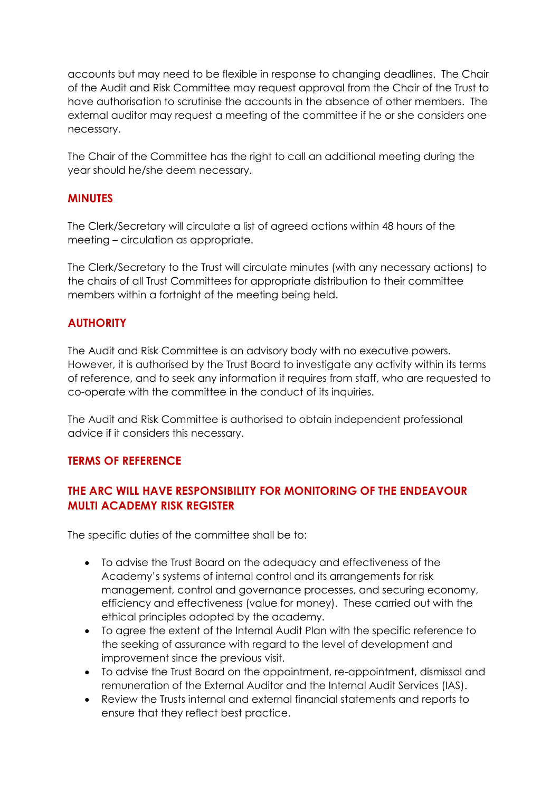accounts but may need to be flexible in response to changing deadlines. The Chair of the Audit and Risk Committee may request approval from the Chair of the Trust to have authorisation to scrutinise the accounts in the absence of other members. The external auditor may request a meeting of the committee if he or she considers one necessary.

The Chair of the Committee has the right to call an additional meeting during the year should he/she deem necessary.

#### **MINUTES**

The Clerk/Secretary will circulate a list of agreed actions within 48 hours of the meeting – circulation as appropriate.

The Clerk/Secretary to the Trust will circulate minutes (with any necessary actions) to the chairs of all Trust Committees for appropriate distribution to their committee members within a fortnight of the meeting being held.

### **AUTHORITY**

The Audit and Risk Committee is an advisory body with no executive powers. However, it is authorised by the Trust Board to investigate any activity within its terms of reference, and to seek any information it requires from staff, who are requested to co-operate with the committee in the conduct of its inquiries.

The Audit and Risk Committee is authorised to obtain independent professional advice if it considers this necessary.

#### **TERMS OF REFERENCE**

# **THE ARC WILL HAVE RESPONSIBILITY FOR MONITORING OF THE ENDEAVOUR MULTI ACADEMY RISK REGISTER**

The specific duties of the committee shall be to:

- To advise the Trust Board on the adequacy and effectiveness of the Academy's systems of internal control and its arrangements for risk management, control and governance processes, and securing economy, efficiency and effectiveness (value for money). These carried out with the ethical principles adopted by the academy.
- To agree the extent of the Internal Audit Plan with the specific reference to the seeking of assurance with regard to the level of development and improvement since the previous visit.
- To advise the Trust Board on the appointment, re-appointment, dismissal and remuneration of the External Auditor and the Internal Audit Services (IAS).
- Review the Trusts internal and external financial statements and reports to ensure that they reflect best practice.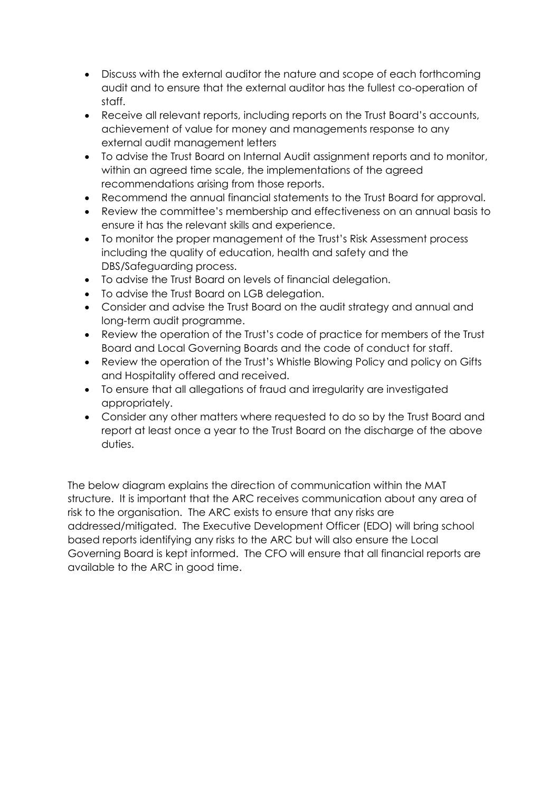- Discuss with the external auditor the nature and scope of each forthcoming audit and to ensure that the external auditor has the fullest co-operation of staff.
- Receive all relevant reports, including reports on the Trust Board's accounts, achievement of value for money and managements response to any external audit management letters
- To advise the Trust Board on Internal Audit assignment reports and to monitor, within an agreed time scale, the implementations of the agreed recommendations arising from those reports.
- Recommend the annual financial statements to the Trust Board for approval.
- Review the committee's membership and effectiveness on an annual basis to ensure it has the relevant skills and experience.
- To monitor the proper management of the Trust's Risk Assessment process including the quality of education, health and safety and the DBS/Safeguarding process.
- To advise the Trust Board on levels of financial delegation.
- To advise the Trust Board on LGB delegation.
- Consider and advise the Trust Board on the audit strategy and annual and long-term audit programme.
- Review the operation of the Trust's code of practice for members of the Trust Board and Local Governing Boards and the code of conduct for staff.
- Review the operation of the Trust's Whistle Blowing Policy and policy on Gifts and Hospitality offered and received.
- To ensure that all allegations of fraud and irregularity are investigated appropriately.
- Consider any other matters where requested to do so by the Trust Board and report at least once a year to the Trust Board on the discharge of the above duties.

The below diagram explains the direction of communication within the MAT structure. It is important that the ARC receives communication about any area of risk to the organisation. The ARC exists to ensure that any risks are addressed/mitigated. The Executive Development Officer (EDO) will bring school based reports identifying any risks to the ARC but will also ensure the Local Governing Board is kept informed. The CFO will ensure that all financial reports are available to the ARC in good time.